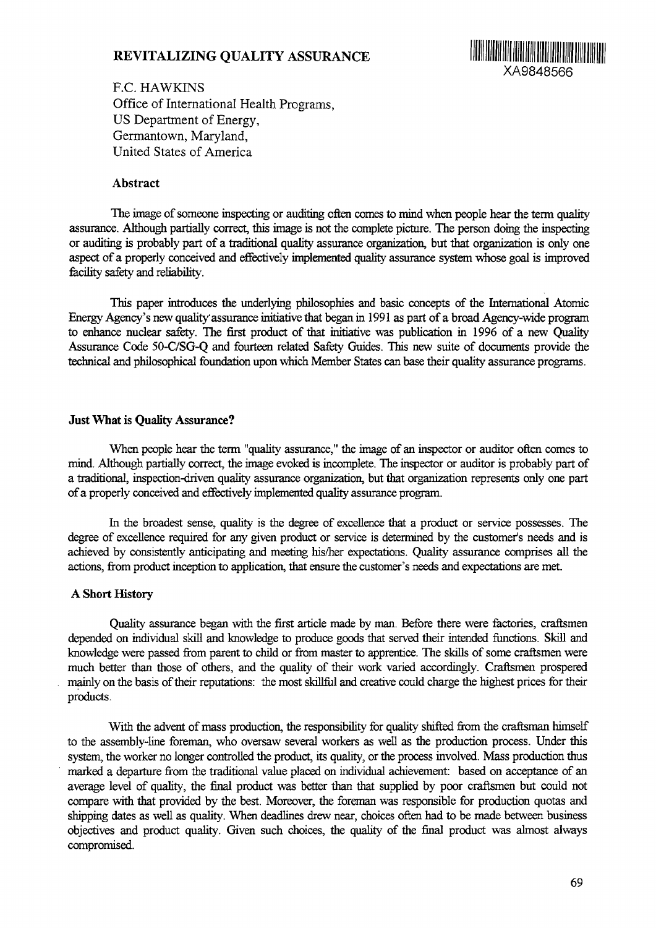# **REVITALIZING QUALITY ASSURANCE**



F.C. HAWKINS Office of International Health Programs, US Department of Energy, Germantown, Maryland, United States of America

## Abstract

The image of someone inspecting or auditing often comes to mind when people hear the term quality assurance. Although partially correct, this image is not the complete picture. The person doing the inspecting or auditing is probably part of a traditional quality assurance organization, but that organization is only one aspect of **a** properly conceived and effectively implemented quality assurance system whose goal is improved facility safety and reliability.

This paper introduces the underlying philosophies and basic concepts of the International Atomic Energy Agency's new quality assurance initiative that began in 1991 as part of a broad Agency-wide program to enhance nuclear safety. The first product of that initiative was publication in 1996 of a new Quality Assurance Code 50-C/SG-Q and fourteen related Safety Guides. This new suite of documents provide the technical and philosophical foundation upon which Member States can base their quality assurance programs.

## **Just What is Quality Assurance?**

When people hear the term "quality assurance," the image of an inspector or auditor often comes to mind. Although partially correct, the image evoked is incomplete. The inspector or auditor is probably part of a traditional, inspection-driven quality assurance organization, but that organization represents only one part of a properly conceived and effectively implemented quality assurance program.

In the broadest sense, quality is the degree of excellence that a product or service possesses. The degree of excellence required for any given product or service is determined by the customer's needs and is achieved by consistently anticipating and meeting his/her expectations. Quality assurance comprises all the actions, from product inception to application, that ensure the customer's needs and expectations are met.

#### **A Short History**

Quality assurance began with the first article made by man. Before there were factories, craftsmen depended on individual skill and knowledge to produce goods that served their intended functions. Skill and knowledge were passed from parent to child or from master to apprentice. The skills of some craftsmen were much better than those of others, and the quality of their work varied accordingly. Craftsmen prospered mainly on the basis of their reputations: the most skillful and creative could charge the highest prices for their products.

With the advent of mass production, the responsibility for quality shifted from the craftsman himself to the assembly-line foreman, who oversaw several workers as well as the production process. Under this system, the worker no longer controlled the product, its quality, or the process involved. Mass production thus marked a departure from the traditional value placed on individual achievement: based on acceptance of an average level of quality, the final product was better than that supplied by poor craftsmen but could not compare with that provided by the best. Moreover, the foreman was responsible for production quotas and shipping dates as well as quality. When deadlines drew near, choices often had to be made between business objectives and product quality. Given such choices, the quality of the final product was almost always compromised.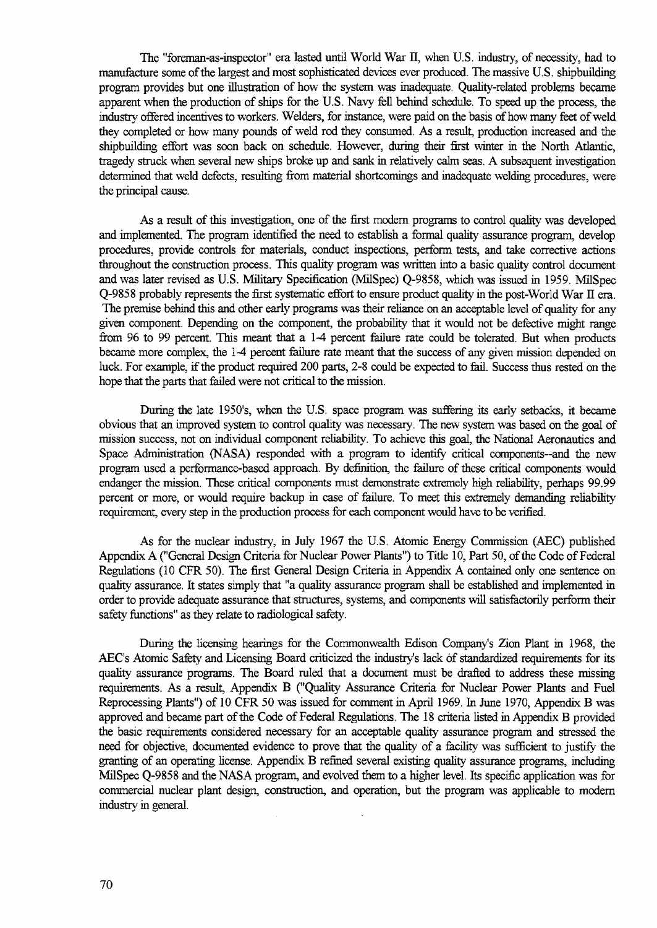The "foreman-as-inspector" era lasted until World War II, when U.S. industry, of necessity, had to manufacture some of the largest and most sophisticated devices ever produced. The massive U.S. shipbuilding program provides but one illustration of how the system was inadequate. Quality-related problems became apparent when the production of ships for the U.S. Navy fell behind schedule. To speed up the process, the industry offered incentives to workers. Welders, for instance, were paid on the basis of how many feet of weld they completed or how many pounds of weld rod they consumed. As a result, production increased and the shipbuilding effort was soon back on schedule. However, during their first winter in the North Atlantic, tragedy struck when several new ships broke up and sank in relatively calm seas. A subsequent investigation determined that weld defects, resulting from material shortcomings and inadequate welding procedures, were the principal cause.

As a result of this investigation, one of the first modern programs to control quality was developed and implemented. The program identified the need to establish a formal quality assurance program, develop procedures, provide controls for materials, conduct inspections, perform tests, and take corrective actions throughout the construction process. This quality program was written into a basic quality control document and was later revised as U.S. Military Specification (MilSpec) Q-9858, which was issued in 1959. MilSpec Q-9858 probably represents the first systematic effort to ensure product quality in the post-World War II era. The premise behind this and other early programs was their reliance on an acceptable level of quality for any given component. Depending on the component, the probability that it would not be defective might range from 96 to 99 percent. This meant that a 1-4 percent failure rate could be tolerated. But when products became more complex, the 1-4 percent failure rate meant that the success of any given mission depended on luck. For example, if the product required 200 parts, 2-8 could be expected to fail. Success thus rested on the hope that the parts that failed were not critical to the mission.

During the late 1950's, when the U.S. space program was suffering its early setbacks, it became obvious that an improved system to control quality was necessary. The new system was based on the goal of mission success, not on individual component reliability. To achieve this goal, the National Aeronautics and Space Administration (NASA) responded with a program to identify critical components—and the new program used a performance-based approach. By definition, the failure of these critical components would endanger the mission. These critical components must demonstrate extremely high reliability, perhaps 99.99 percent or more, or would require backup in case of failure. To meet this extremely demanding reliability requirement, every step in the production process for each component would have to be verified.

As for the nuclear industry, in July 1967 the U.S. Atomic Energy Commission (AEC) published Appendix A ("General Design Criteria for Nuclear Power Plants") to Title 10, Part 50, of the Code of Federal Regulations (10 CFR 50). The first General Design Criteria in Appendix A contained only one sentence on quality assurance. It states simply that "a quality assurance program shall be established and implemented in order to provide adequate assurance that structures, systems, and components will satisfactorily perform their safety functions" as they relate to radiological safety.

During the licensing hearings for the Commonwealth Edison Company's Zion Plant in 1968, the AEC's Atomic Safety and Licensing Board criticized the industry's lack of standardized requirements for its quality assurance programs. The Board ruled that a document must be drafted to address these missing requirements. As a result, Appendix B ("Quality Assurance Criteria for Nuclear Power Plants and Fuel Reprocessing Plants") of 10 CFR 50 was issued for comment in April 1969. In June 1970, Appendix B was approved and became part of the Code of Federal Regulations. The 18 criteria listed in Appendix B provided the basic requirements considered necessary for an acceptable quality assurance program and stressed the need for objective, documented evidence to prove that the quality of a facility was sufficient to justify the granting of an operating license. Appendix B refined several existing quality assurance programs, including MilSpec Q-9858 and the NASA program, and evolved them to a higher level. Its specific application was for commercial nuclear plant design, construction, and operation, but the program was applicable to modern industry in general.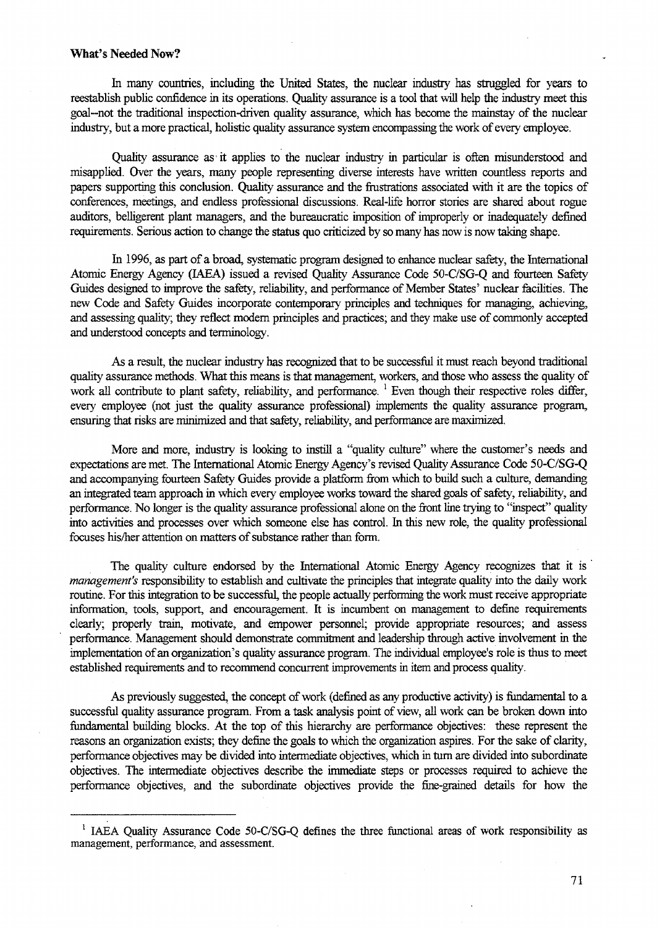#### **What's Needed Now?**

In many countries, including the United States, the nuclear industry has straggled for years to reestablish public confidence in its operations. Quality assurance is a tool that will help the industry meet this goal-not the traditional inspection-driven quality assurance, which has become the mainstay of the nuclear industry, but a more practical, holistic quality assurance system encompassing the work of every employee.

Quality assurance as' it applies to the nuclear industry in particular is often misunderstood and misapplied. Over the years, many people representing diverse interests have written countless reports and papers supporting this conclusion. Quality assurance and the frustrations associated with it are the topics of conferences, meetings, and endless professional discussions. Real-life horror stories are shared about rogue auditors, belligerent plant managers, and the bureaucratic imposition of improperly or inadequately defined requirements. Serious action to change the status quo criticized by so many has now is now taking shape.

In 1996, as part of a broad, systematic program designed to enhance nuclear safety, the International Atomic Energy Agency (IAEA) issued a revised Quality Assurance Code 50-C/SG-Q and fourteen Safety Guides designed to improve the safety, reliability, and performance of Member States' nuclear facilities. The new Code and Safety Guides incorporate contemporary principles and techniques for managing, achieving, and assessing quality; they reflect modern principles and practices; and they make use of commonly accepted and understood concepts and terminology.

As a result, the nuclear industry has recognized that to be successful it must reach beyond traditional quality assurance methods. What this means is that management, workers, and those who assess the quality of work all contribute to plant safety, reliability, and performance.<sup>1</sup> Even though their respective roles differ, every employee (not just the quality assurance professional) implements the quality assurance program, ensuring that risks are minimized and that safety, reliability, and performance are maximized.

More and more, industry is looking to instill a "quality culture" where the customer's needs and expectations are met. The International Atomic Energy Agency's revised Quality Assurance Code 50-C/SG-Q and accompanying fourteen Safety Guides provide a platform from which to build such a culture, demanding an integrated team approach in which every employee works toward the shared goals of safety, reliability, and performance. No longer is the quality assurance professional alone on the front line trying to "inspect" quality into activities and processes over which someone else has control, hi this new role, the quality professional focuses his/her attention on matters of substance rather than form.

The quality culture endorsed by the International Atomic Energy Agency recognizes that it is *management's* responsibility to establish and cultivate the principles that integrate quality into the daily work routine. For this integration to be successful, the people actually performing the work must receive appropriate information, tools, support, and encouragement. It is incumbent on management to define requirements clearly; properly train, motivate, and empower personnel; provide appropriate resources; and assess performance. Management should demonstrate commitment and leadership through active involvement in the implementation of an organization's quality assurance program. The individual employee's role is thus to meet established requirements and to recommend concurrent improvements in item and process quality.

As previously suggested, the concept of work (defined as any productive activity) is fundamental to a successful quality assurance program. From a task analysis point of view, all work can be broken down into fundamental building blocks. At the top of this hierarchy are performance objectives: these represent the reasons an organization exists; they define the goals to which the organization aspires. For the sake of clarity, performance objectives may be divided into intermediate objectives, which in turn are divided into subordinate objectives. The intermediate objectives describe the immediate steps or processes required to achieve the performance objectives, and the subordinate objectives provide the finegrained details for how the

<sup>&</sup>lt;sup>1</sup> IAEA Quality Assurance Code 50-C/SG-Q defines the three functional areas of work responsibility as management, performance, and assessment.